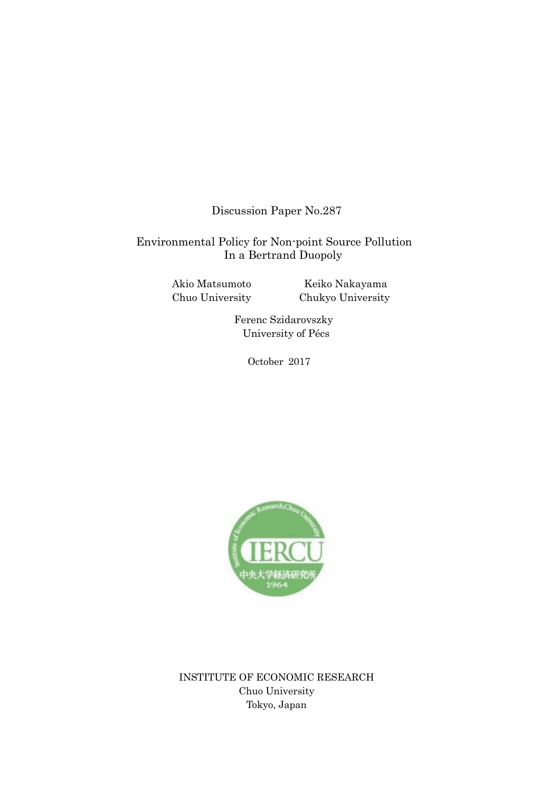Discussion Paper No.287

## Environmental Policy for Non-point Source Pollution In a Bertrand Duopoly

Akio Matsumoto Chuo University

Keiko Nakayama Chukyo University

Ferenc Szidarovszky University of Pécs

October 2017



INSTITUTE OF ECONOMIC RESEARCH Chuo University Tokyo, Japan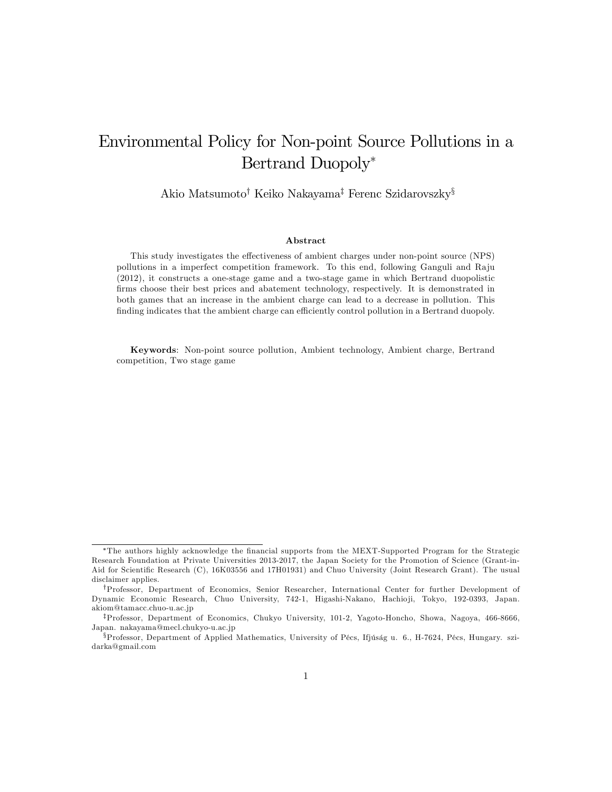# Environmental Policy for Non-point Source Pollutions in a Bertrand Duopoly

Akio Matsumoto<sup>†</sup> Keiko Nakayama<sup>†</sup> Ferenc Szidarovszky<sup>§</sup>

#### Abstract

This study investigates the effectiveness of ambient charges under non-point source (NPS) pollutions in a imperfect competition framework. To this end, following Ganguli and Raju (2012), it constructs a one-stage game and a two-stage game in which Bertrand duopolistic firms choose their best prices and abatement technology, respectively. It is demonstrated in both games that an increase in the ambient charge can lead to a decrease in pollution. This finding indicates that the ambient charge can efficiently control pollution in a Bertrand duopoly.

Keywords: Non-point source pollution, Ambient technology, Ambient charge, Bertrand competition, Two stage game

The authors highly acknowledge the Önancial supports from the MEXT-Supported Program for the Strategic Research Foundation at Private Universities 2013-2017, the Japan Society for the Promotion of Science (Grant-in-Aid for Scientific Research (C), 16K03556 and 17H01931) and Chuo University (Joint Research Grant). The usual disclaimer applies.

<sup>&</sup>lt;sup>†</sup>Professor, Department of Economics, Senior Researcher, International Center for further Development of Dynamic Economic Research, Chuo University, 742-1, Higashi-Nakano, Hachioji, Tokyo, 192-0393, Japan. akiom@tamacc.chuo-u.ac.jp

<sup>&</sup>lt;sup>‡</sup>Professor, Department of Economics, Chukyo University, 101-2, Yagoto-Honcho, Showa, Nagoya, 466-8666, Japan. nakayama@mecl.chukyo-u.ac.jp

<sup>§</sup>Professor, Department of Applied Mathematics, University of Pécs, Ifjúság u. 6., H-7624, Pécs, Hungary. szidarka@gmail.com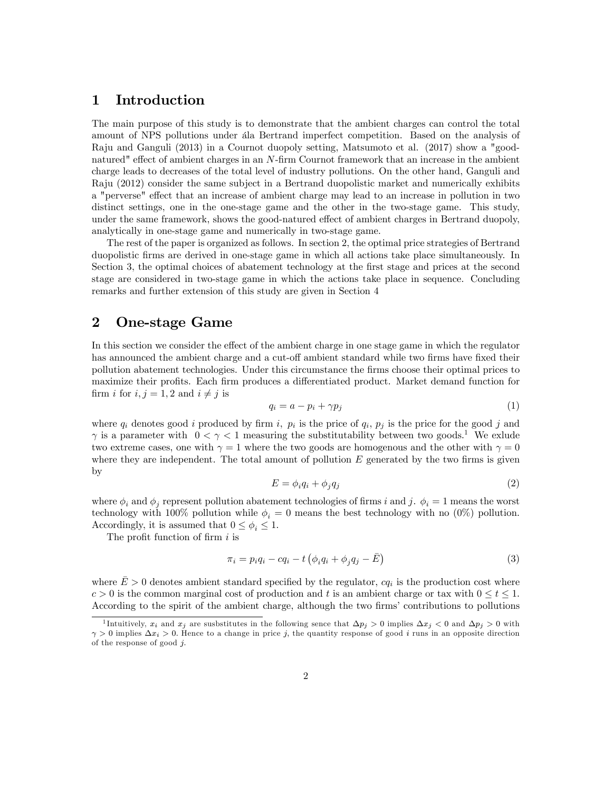#### 1 Introduction

The main purpose of this study is to demonstrate that the ambient charges can control the total amount of NPS pollutions under all Bertrand imperfect competition. Based on the analysis of Raju and Ganguli (2013) in a Cournot duopoly setting, Matsumoto et al. (2017) show a "goodnatured" effect of ambient charges in an N-firm Cournot framework that an increase in the ambient charge leads to decreases of the total level of industry pollutions. On the other hand, Ganguli and Raju (2012) consider the same subject in a Bertrand duopolistic market and numerically exhibits a "perverse" effect that an increase of ambient charge may lead to an increase in pollution in two distinct settings, one in the one-stage game and the other in the two-stage game. This study, under the same framework, shows the good-natured effect of ambient charges in Bertrand duopoly, analytically in one-stage game and numerically in two-stage game.

The rest of the paper is organized as follows. In section 2, the optimal price strategies of Bertrand duopolistic Örms are derived in one-stage game in which all actions take place simultaneously. In Section 3, the optimal choices of abatement technology at the first stage and prices at the second stage are considered in two-stage game in which the actions take place in sequence. Concluding remarks and further extension of this study are given in Section 4

#### 2 One-stage Game

In this section we consider the effect of the ambient charge in one stage game in which the regulator has announced the ambient charge and a cut-off ambient standard while two firms have fixed their pollution abatement technologies. Under this circumstance the Örms choose their optimal prices to maximize their profits. Each firm produces a differentiated product. Market demand function for firm i for  $i, j = 1, 2$  and  $i \neq j$  is

$$
q_i = a - p_i + \gamma p_j \tag{1}
$$

where  $q_i$  denotes good i produced by firm i,  $p_i$  is the price of  $q_i$ ,  $p_j$  is the price for the good j and  $\gamma$  is a parameter with  $0 < \gamma < 1$  measuring the substitutability between two goods.<sup>1</sup> We exlude two extreme cases, one with  $\gamma = 1$  where the two goods are homogenous and the other with  $\gamma = 0$ where they are independent. The total amount of pollution  $E$  generated by the two firms is given by

$$
E = \phi_i q_i + \phi_j q_j \tag{2}
$$

where  $\phi_i$  and  $\phi_j$  represent pollution abatement technologies of firms i and j.  $\phi_i = 1$  means the worst technology with 100% pollution while  $\phi_i = 0$  means the best technology with no (0%) pollution. Accordingly, it is assumed that  $0 \le \phi_i \le 1$ .

The profit function of firm  $i$  is

$$
\pi_i = p_i q_i - c q_i - t \left( \phi_i q_i + \phi_j q_j - \bar{E} \right)
$$
\n(3)

where  $\bar{E} > 0$  denotes ambient standard specified by the regulator,  $cq_i$  is the production cost where  $c > 0$  is the common marginal cost of production and t is an ambient charge or tax with  $0 \le t \le 1$ . According to the spirit of the ambient charge, although the two firms' contributions to pollutions

<sup>&</sup>lt;sup>1</sup>Intuitively,  $x_i$  and  $x_j$  are susbstitutes in the following sence that  $\Delta p_j > 0$  implies  $\Delta x_j < 0$  and  $\Delta p_j > 0$  with  $\gamma > 0$  implies  $\Delta x_i > 0$ . Hence to a change in price j, the quantity response of good i runs in an opposite direction of the response of good  $j$ .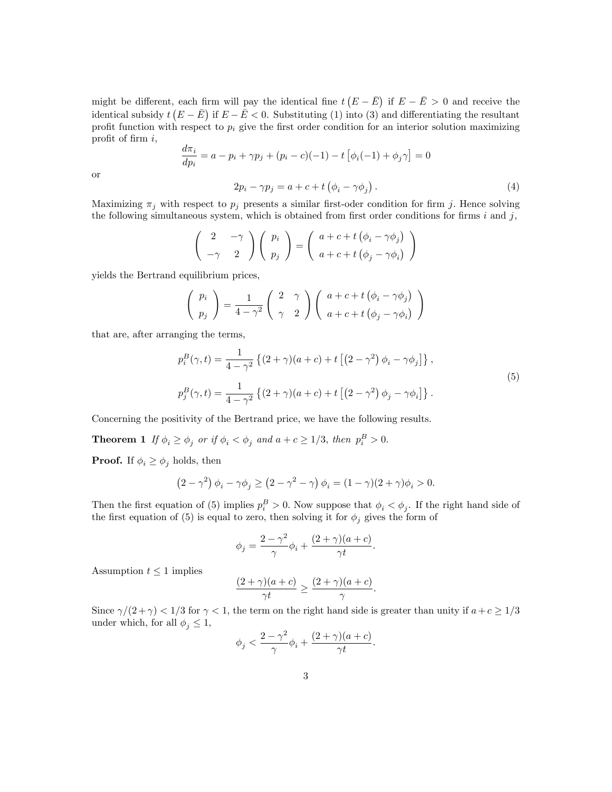might be different, each firm will pay the identical fine  $t(E-\bar{E})$  if  $E-\bar{E} > 0$  and receive the identical subsidy  $t(E - \bar{E})$  if  $E - \bar{E} < 0$ . Substituting (1) into (3) and differentiating the resultant profit function with respect to  $p_i$  give the first order condition for an interior solution maximizing profit of firm  $i$ ,

$$
\frac{d\pi_i}{dp_i} = a - p_i + \gamma p_j + (p_i - c)(-1) - t \left[ \phi_i(-1) + \phi_j \gamma \right] = 0
$$
  

$$
2p_i - \gamma p_j = a + c + t \left( \phi_i - \gamma \phi_j \right).
$$
 (4)

or

Maximizing  $\pi_j$  with respect to  $p_j$  presents a similar first-oder condition for firm j. Hence solving the following simultaneous system, which is obtained from first order conditions for firms i and j,

$$
\begin{pmatrix} 2 & -\gamma \\ -\gamma & 2 \end{pmatrix} \begin{pmatrix} p_i \\ p_j \end{pmatrix} = \begin{pmatrix} a+c+t(\phi_i - \gamma \phi_j) \\ a+c+t(\phi_j - \gamma \phi_i) \end{pmatrix}
$$

yields the Bertrand equilibrium prices,

$$
\left(\begin{array}{c}p_i\\p_j\end{array}\right) = \frac{1}{4-\gamma^2}\left(\begin{array}{cc}2&\gamma\\ \gamma&2\end{array}\right)\left(\begin{array}{c}a+c+t\left(\phi_i-\gamma\phi_j\right)\\a+c+t\left(\phi_j-\gamma\phi_i\right)\end{array}\right)
$$

that are, after arranging the terms,

$$
p_i^B(\gamma, t) = \frac{1}{4 - \gamma^2} \left\{ (2 + \gamma)(a + c) + t \left[ (2 - \gamma^2) \phi_i - \gamma \phi_j \right] \right\},
$$
  
\n
$$
p_j^B(\gamma, t) = \frac{1}{4 - \gamma^2} \left\{ (2 + \gamma)(a + c) + t \left[ (2 - \gamma^2) \phi_j - \gamma \phi_i \right] \right\}.
$$
\n(5)

Concerning the positivity of the Bertrand price, we have the following results.

**Theorem 1** If  $\phi_i \ge \phi_j$  or if  $\phi_i < \phi_j$  and  $a + c \ge 1/3$ , then  $p_i^B > 0$ .

**Proof.** If  $\phi_i \geq \phi_j$  holds, then

$$
(2 - \gamma^2) \phi_i - \gamma \phi_j \ge (2 - \gamma^2 - \gamma) \phi_i = (1 - \gamma)(2 + \gamma)\phi_i > 0.
$$

Then the first equation of (5) implies  $p_i^B > 0$ . Now suppose that  $\phi_i < \phi_j$ . If the right hand side of the first equation of (5) is equal to zero, then solving it for  $\phi_j$  gives the form of

$$
\phi_j = \frac{2 - \gamma^2}{\gamma} \phi_i + \frac{(2 + \gamma)(a + c)}{\gamma t}.
$$

Assumption  $t \leq 1$  implies

$$
\frac{(2+\gamma)(a+c)}{\gamma t} \ge \frac{(2+\gamma)(a+c)}{\gamma}.
$$

Since  $\gamma/(2+\gamma) < 1/3$  for  $\gamma < 1$ , the term on the right hand side is greater than unity if  $a+c \geq 1/3$ under which, for all  $\phi_j \leq 1$ ,

$$
\phi_j < \frac{2-\gamma^2}{\gamma}\phi_i + \frac{(2+\gamma)(a+c)}{\gamma t}.
$$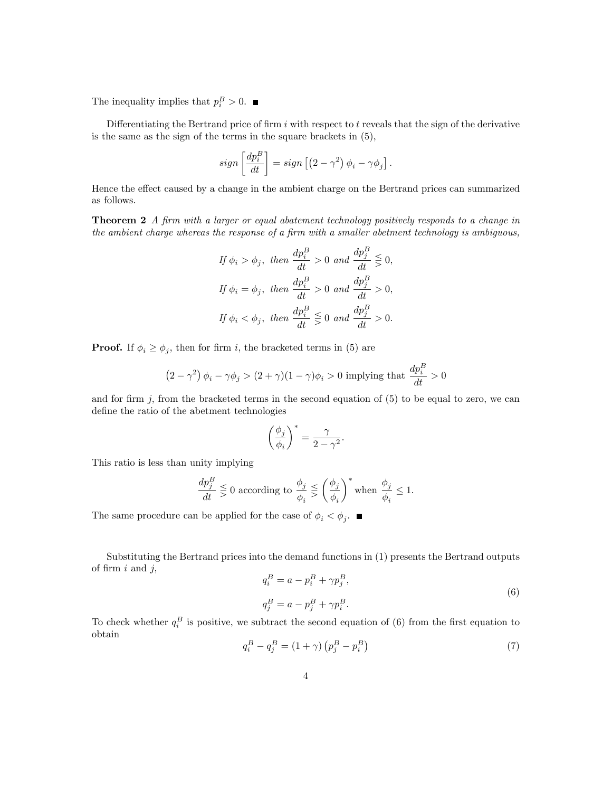The inequality implies that  $p_i^B > 0$ .

Differentiating the Bertrand price of firm  $i$  with respect to  $t$  reveals that the sign of the derivative is the same as the sign of the terms in the square brackets in (5),

$$
sign\left[\frac{dp_i^B}{dt}\right] = sign\left[\left(2-\gamma^2\right)\phi_i - \gamma\phi_j\right].
$$

Hence the effect caused by a change in the ambient charge on the Bertrand prices can summarized as follows.

**Theorem 2** A firm with a larger or equal abatement technology positively responds to a change in the ambient charge whereas the response of a firm with a smaller abetment technology is ambiguous,

$$
If \phi_i > \phi_j, \ then \frac{dp_i^B}{dt} > 0 \ and \frac{dp_j^B}{dt} \leq 0,
$$
  

$$
If \phi_i = \phi_j, \ then \frac{dp_i^B}{dt} > 0 \ and \frac{dp_j^B}{dt} > 0,
$$
  

$$
If \phi_i < \phi_j, \ then \frac{dp_i^B}{dt} \leq 0 \ and \frac{dp_j^B}{dt} > 0.
$$

**Proof.** If  $\phi_i \ge \phi_j$ , then for firm i, the bracketed terms in (5) are

$$
(2 - \gamma^2) \phi_i - \gamma \phi_j > (2 + \gamma)(1 - \gamma)\phi_i > 0
$$
 implying that  $\frac{dp_i^B}{dt} > 0$ 

and for firm  $j$ , from the bracketed terms in the second equation of  $(5)$  to be equal to zero, we can define the ratio of the abetment technologies

$$
\left(\frac{\phi_j}{\phi_i}\right)^* = \frac{\gamma}{2-\gamma^2}
$$

:

This ratio is less than unity implying

$$
\frac{dp_j^B}{dt} \leq 0
$$
 according to 
$$
\frac{\phi_j}{\phi_i} \leq \left(\frac{\phi_j}{\phi_i}\right)^* \text{ when } \frac{\phi_j}{\phi_i} \leq 1.
$$

The same procedure can be applied for the case of  $\phi_i < \phi_j$ .

Substituting the Bertrand prices into the demand functions in (1) presents the Bertrand outputs of firm  $i$  and  $j$ ,

$$
q_i^B = a - p_i^B + \gamma p_j^B,
$$
  
\n
$$
q_j^B = a - p_j^B + \gamma p_i^B.
$$
\n(6)

To check whether  $q_i^B$  is positive, we subtract the second equation of (6) from the first equation to obtain

$$
q_i^B - q_j^B = (1 + \gamma) (p_j^B - p_i^B)
$$
\n(7)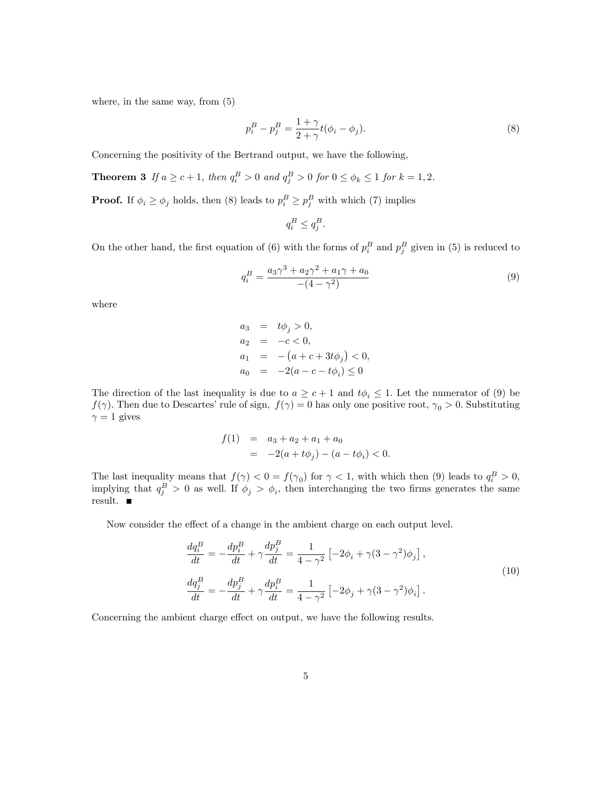where, in the same way, from (5)

$$
p_i^B - p_j^B = \frac{1 + \gamma}{2 + \gamma} t(\phi_i - \phi_j).
$$
\n(8)

Concerning the positivity of the Bertrand output, we have the following,

**Theorem 3** If 
$$
a \ge c+1
$$
, then  $q_i^B > 0$  and  $q_j^B > 0$  for  $0 \le \phi_k \le 1$  for  $k = 1, 2$ .

**Proof.** If  $\phi_i \ge \phi_j$  holds, then (8) leads to  $p_i^B \ge p_j^B$  with which (7) implies

$$
q_i^B \le q_j^B.
$$

On the other hand, the first equation of (6) with the forms of  $p_i^B$  and  $p_j^B$  given in (5) is reduced to

$$
q_i^B = \frac{a_3 \gamma^3 + a_2 \gamma^2 + a_1 \gamma + a_0}{-(4 - \gamma^2)}
$$
\n(9)

where

$$
a_3 = t\phi_j > 0,
$$
  
\n
$$
a_2 = -c < 0,
$$
  
\n
$$
a_1 = -(a+c+3t\phi_j) < 0,
$$
  
\n
$$
a_0 = -2(a-c-t\phi_i) \le 0
$$

The direction of the last inequality is due to  $a \geq c+1$  and  $t\phi_i \leq 1$ . Let the numerator of (9) be  $f(\gamma)$ . Then due to Descartes' rule of sign,  $f(\gamma) = 0$  has only one positive root,  $\gamma_0 > 0$ . Substituting  $\gamma = 1$  gives

$$
f(1) = a_3 + a_2 + a_1 + a_0
$$
  
= -2(a + t\phi\_j) - (a - t\phi\_i) < 0.

The last inequality means that  $f(\gamma) < 0 = f(\gamma_0)$  for  $\gamma < 1$ , with which then (9) leads to  $q_i^B > 0$ , implying that  $q_j^B > 0$  as well. If  $\phi_j > \phi_i$ , then interchanging the two firms generates the same result.

Now consider the effect of a change in the ambient charge on each output level.

$$
\frac{dq_i^B}{dt} = -\frac{dp_i^B}{dt} + \gamma \frac{dp_j^B}{dt} = \frac{1}{4 - \gamma^2} \left[ -2\phi_i + \gamma (3 - \gamma^2)\phi_j \right],
$$
\n
$$
\frac{dq_j^B}{dt} = -\frac{dp_j^B}{dt} + \gamma \frac{dp_i^B}{dt} = \frac{1}{4 - \gamma^2} \left[ -2\phi_j + \gamma (3 - \gamma^2)\phi_i \right].
$$
\n(10)

Concerning the ambient charge effect on output, we have the following results.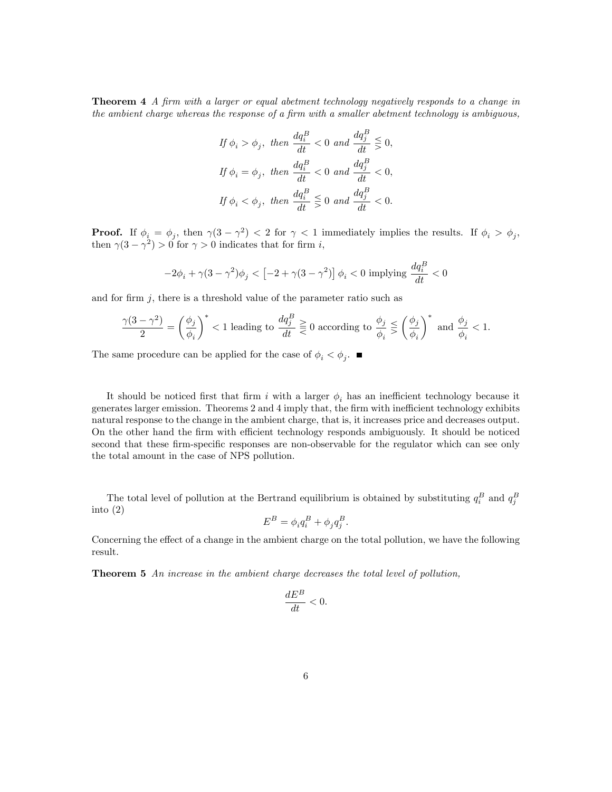**Theorem 4** A firm with a larger or equal abetment technology negatively responds to a change in the ambient charge whereas the response of a firm with a smaller abetment technology is ambiguous,

$$
\begin{aligned} \text{If }\phi_i > \phi_j, \text{ then } \frac{dq_i^B}{dt} < 0 \text{ and } \frac{dq_j^B}{dt} \leq 0, \\ \text{If }\phi_i &= \phi_j, \text{ then } \frac{dq_i^B}{dt} < 0 \text{ and } \frac{dq_j^B}{dt} < 0, \\ \text{If }\phi_i < \phi_j, \text{ then } \frac{dq_i^B}{dt} \leq 0 \text{ and } \frac{dq_j^B}{dt} < 0. \end{aligned}
$$

**Proof.** If  $\phi_i = \phi_j$ , then  $\gamma(3 - \gamma^2) < 2$  for  $\gamma < 1$  immediately implies the results. If  $\phi_i > \phi_j$ , then  $\gamma(3-\gamma^2) > 0$  for  $\gamma > 0$  indicates that for firm *i*,

$$
-2\phi_i+\gamma(3-\gamma^2)\phi_j<\left[-2+\gamma(3-\gamma^2)\right]\phi_i<0 \text{ implying }\frac{dq_i^B}{dt}<0
$$

and for firm  $j$ , there is a threshold value of the parameter ratio such as

$$
\frac{\gamma(3-\gamma^2)}{2} = \left(\frac{\phi_j}{\phi_i}\right)^* < 1
$$
 leading to  $\frac{dq_j^B}{dt} \geq 0$  according to  $\frac{\phi_j}{\phi_i} \leq \left(\frac{\phi_j}{\phi_i}\right)^*$  and  $\frac{\phi_j}{\phi_i} < 1$ .

The same procedure can be applied for the case of  $\phi_i < \phi_j$ .

It should be noticed first that firm i with a larger  $\phi_i$  has an inefficient technology because it generates larger emission. Theorems 2 and 4 imply that, the firm with inefficient technology exhibits natural response to the change in the ambient charge, that is, it increases price and decreases output. On the other hand the firm with efficient technology responds ambiguously. It should be noticed second that these firm-specific responses are non-observable for the regulator which can see only the total amount in the case of NPS pollution.

The total level of pollution at the Bertrand equilibrium is obtained by substituting  $q_i^B$  and  $q_j^B$ into (2)

$$
E^B = \phi_i q_i^B + \phi_j q_j^B.
$$

Concerning the effect of a change in the ambient charge on the total pollution, we have the following result.

Theorem 5 An increase in the ambient charge decreases the total level of pollution,

$$
\frac{dE^B}{dt} < 0.
$$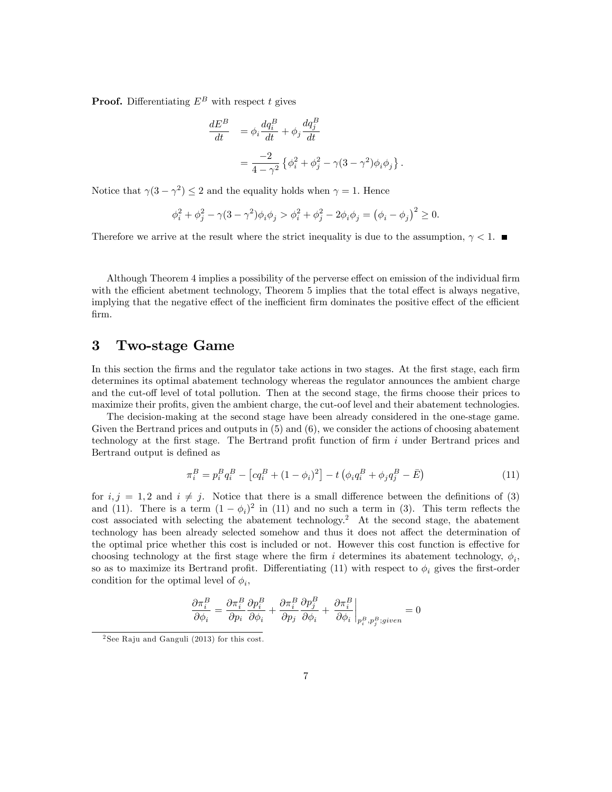**Proof.** Differentiating  $E^B$  with respect t gives

$$
\frac{dE^B}{dt} = \phi_i \frac{dq_i^B}{dt} + \phi_j \frac{dq_j^B}{dt}
$$

$$
= \frac{-2}{4 - \gamma^2} \left\{ \phi_i^2 + \phi_j^2 - \gamma (3 - \gamma^2) \phi_i \phi_j \right\}.
$$

Notice that  $\gamma(3-\gamma^2) \le 2$  and the equality holds when  $\gamma = 1$ . Hence

$$
\phi_i^2 + \phi_j^2 - \gamma (3 - \gamma^2) \phi_i \phi_j > \phi_i^2 + \phi_j^2 - 2\phi_i \phi_j = (\phi_i - \phi_j)^2 \ge 0.
$$

Therefore we arrive at the result where the strict inequality is due to the assumption,  $\gamma < 1$ .

Although Theorem 4 implies a possibility of the perverse effect on emission of the individual firm with the efficient abetment technology, Theorem 5 implies that the total effect is always negative, implying that the negative effect of the inefficient firm dominates the positive effect of the efficient Örm.

### 3 Two-stage Game

In this section the firms and the regulator take actions in two stages. At the first stage, each firm determines its optimal abatement technology whereas the regulator announces the ambient charge and the cut-off level of total pollution. Then at the second stage, the firms choose their prices to maximize their profits, given the ambient charge, the cut-oof level and their abatement technologies.

The decision-making at the second stage have been already considered in the one-stage game. Given the Bertrand prices and outputs in (5) and (6), we consider the actions of choosing abatement technology at the first stage. The Bertrand profit function of firm  $i$  under Bertrand prices and Bertrand output is defined as

$$
\pi_i^B = p_i^B q_i^B - [cq_i^B + (1 - \phi_i)^2] - t(\phi_i q_i^B + \phi_j q_j^B - \bar{E})
$$
\n(11)

for  $i, j = 1, 2$  and  $i \neq j$ . Notice that there is a small difference between the definitions of (3) and (11). There is a term  $(1 - \phi_i)^2$  in (11) and no such a term in (3). This term reflects the cost associated with selecting the abatement technology.<sup>2</sup> At the second stage, the abatement technology has been already selected somehow and thus it does not affect the determination of the optimal price whether this cost is included or not. However this cost function is effective for choosing technology at the first stage where the firm i determines its abatement technology,  $\phi_i$ , so as to maximize its Bertrand profit. Differentiating (11) with respect to  $\phi_i$  gives the first-order condition for the optimal level of  $\phi_i$ ,

$$
\frac{\partial \pi^B_i}{\partial \phi_i} = \frac{\partial \pi^B_i}{\partial p_i}\frac{\partial p^B_i}{\partial \phi_i} + \frac{\partial \pi^B_i}{\partial p_j}\frac{\partial p^B_j}{\partial \phi_i} + \left. \frac{\partial \pi^B_i}{\partial \phi_i} \right|_{p^B_i, p^B_j; given} = 0
$$

 $2$ See Raju and Ganguli (2013) for this cost.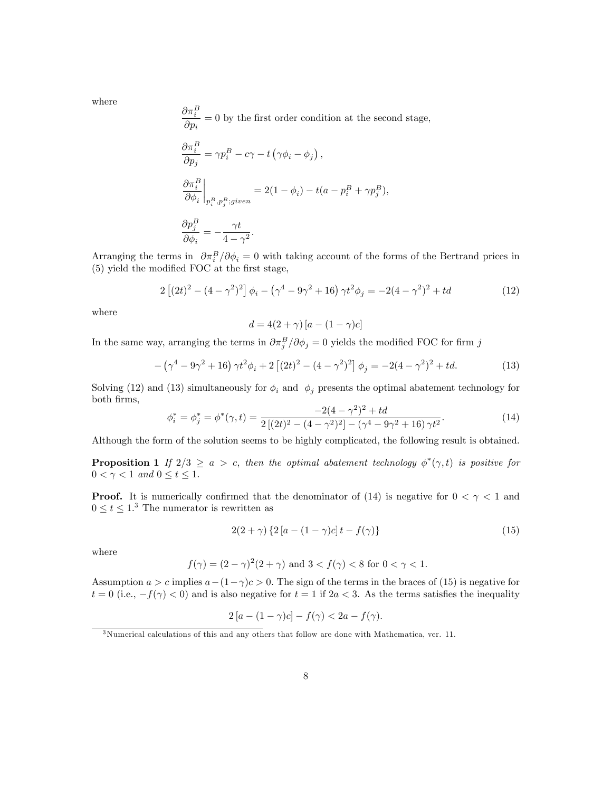where

$$
\label{eq:1} \begin{split} &\frac{\partial \pi^B_i}{\partial p_i} = 0 \text{ by the first order condition at the second stage,}\\ &\frac{\partial \pi^B_i}{\partial p_j} = \gamma p^B_i - c\gamma - t\left(\gamma\phi_i - \phi_j\right),\\ &\frac{\partial \pi^B_i}{\partial \phi_i}\bigg|_{p^B_i, p^B_j; given} = 2(1-\phi_i) - t(a-p^B_i + \gamma p^B_j),\\ &\frac{\partial p^B_j}{\partial \phi_i} = -\frac{\gamma t}{4-\gamma^2}. \end{split}
$$

Arranging the terms in  $\partial \pi_i^B / \partial \phi_i = 0$  with taking account of the forms of the Bertrand prices in  $(5)$  yield the modified FOC at the first stage,

$$
2\left[ (2t)^2 - (4 - \gamma^2)^2 \right] \phi_i - \left( \gamma^4 - 9\gamma^2 + 16 \right) \gamma t^2 \phi_j = -2(4 - \gamma^2)^2 + td \tag{12}
$$

where

$$
d = 4(2+\gamma) [a - (1-\gamma)c]
$$

In the same way, arranging the terms in  $\partial \pi_j^B / \partial \phi_j = 0$  yields the modified FOC for firm j

$$
- \left(\gamma^4 - 9\gamma^2 + 16\right)\gamma t^2 \phi_i + 2\left[ (2t)^2 - (4 - \gamma^2)^2 \right] \phi_j = -2(4 - \gamma^2)^2 + td.
$$
 (13)

Solving (12) and (13) simultaneously for  $\phi_i$  and  $\phi_j$  presents the optimal abatement technology for both Örms,

$$
\phi_i^* = \phi_j^* = \phi^*(\gamma, t) = \frac{-2(4 - \gamma^2)^2 + td}{2\left[(2t)^2 - (4 - \gamma^2)^2\right] - (\gamma^4 - 9\gamma^2 + 16)\gamma t^2}.
$$
\n(14)

Although the form of the solution seems to be highly complicated, the following result is obtained.

**Proposition 1** If  $2/3 \ge a > c$ , then the optimal abatement technology  $\phi^*(\gamma, t)$  is positive for  $0 < \gamma < 1$  and  $0 < t < 1$ .

**Proof.** It is numerically confirmed that the denominator of (14) is negative for  $0 < \gamma < 1$  and  $0 \le t \le 1$ .<sup>3</sup> The numerator is rewritten as

$$
2(2+\gamma)\left\{2\left[a - (1-\gamma)c\right]t - f(\gamma)\right\} \tag{15}
$$

where

$$
f(\gamma) = (2 - \gamma)^2 (2 + \gamma)
$$
 and  $3 < f(\gamma) < 8$  for  $0 < \gamma < 1$ .

Assumption  $a > c$  implies  $a - (1 - \gamma)c > 0$ . The sign of the terms in the braces of (15) is negative for  $t = 0$  (i.e.,  $-f(\gamma) < 0$ ) and is also negative for  $t = 1$  if  $2a < 3$ . As the terms satisfies the inequality

$$
2\left[a - (1 - \gamma)c\right] - f(\gamma) < 2a - f(\gamma).
$$

<sup>3</sup>Numerical calculations of this and any others that follow are done with Mathematica, ver. 11.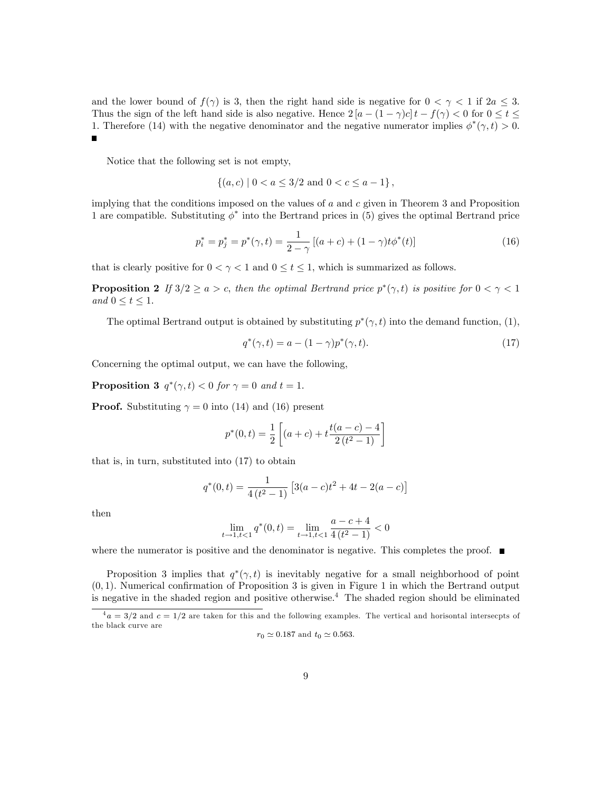and the lower bound of  $f(\gamma)$  is 3, then the right hand side is negative for  $0 < \gamma < 1$  if  $2a \leq 3$ . Thus the sign of the left hand side is also negative. Hence  $2[a - (1 - \gamma)c]t - f(\gamma) < 0$  for  $0 \le t \le$ 1. Therefore (14) with the negative denominator and the negative numerator implies  $\phi^*(\gamma, t) > 0$ . Ē

Notice that the following set is not empty,

$$
\{(a, c) \mid 0 < a \le 3/2 \text{ and } 0 < c \le a - 1\},\
$$

implying that the conditions imposed on the values of  $a$  and  $c$  given in Theorem 3 and Proposition 1 are compatible. Substituting  $\phi^*$  into the Bertrand prices in (5) gives the optimal Bertrand price

$$
p_i^* = p_j^* = p^*(\gamma, t) = \frac{1}{2 - \gamma} \left[ (a + c) + (1 - \gamma)t \phi^*(t) \right]
$$
 (16)

that is clearly positive for  $0 < \gamma < 1$  and  $0 \le t \le 1$ , which is summarized as follows.

**Proposition 2** If  $3/2 \ge a > c$ , then the optimal Bertrand price  $p^*(\gamma, t)$  is positive for  $0 < \gamma < 1$ and  $0 \le t \le 1$ .

The optimal Bertrand output is obtained by substituting  $p^*(\gamma, t)$  into the demand function, (1),

$$
q^*(\gamma, t) = a - (1 - \gamma)p^*(\gamma, t). \tag{17}
$$

Concerning the optimal output, we can have the following,

**Proposition 3**  $q^*(\gamma, t) < 0$  for  $\gamma = 0$  and  $t = 1$ .

**Proof.** Substituting  $\gamma = 0$  into (14) and (16) present

$$
p^*(0,t) = \frac{1}{2} \left[ (a+c) + t \frac{t(a-c) - 4}{2(t^2 - 1)} \right]
$$

that is, in turn, substituted into (17) to obtain

$$
q^*(0,t) = \frac{1}{4(t^2-1)} \left[ 3(a-c)t^2 + 4t - 2(a-c) \right]
$$

then

$$
\lim_{t \to 1, t < 1} q^*(0, t) = \lim_{t \to 1, t < 1} \frac{a - c + 4}{4(t^2 - 1)} < 0
$$

where the numerator is positive and the denominator is negative. This completes the proof.  $\blacksquare$ 

Proposition 3 implies that  $q^*(\gamma,t)$  is inevitably negative for a small neighborhood of point  $(0, 1)$ . Numerical confirmation of Proposition 3 is given in Figure 1 in which the Bertrand output is negative in the shaded region and positive otherwise.<sup>4</sup> The shaded region should be eliminated

$$
r_0 \simeq 0.187
$$
 and  $t_0 \simeq 0.563$ .

 $4a = 3/2$  and  $c = 1/2$  are taken for this and the following examples. The vertical and horisontal intersecpts of the black curve are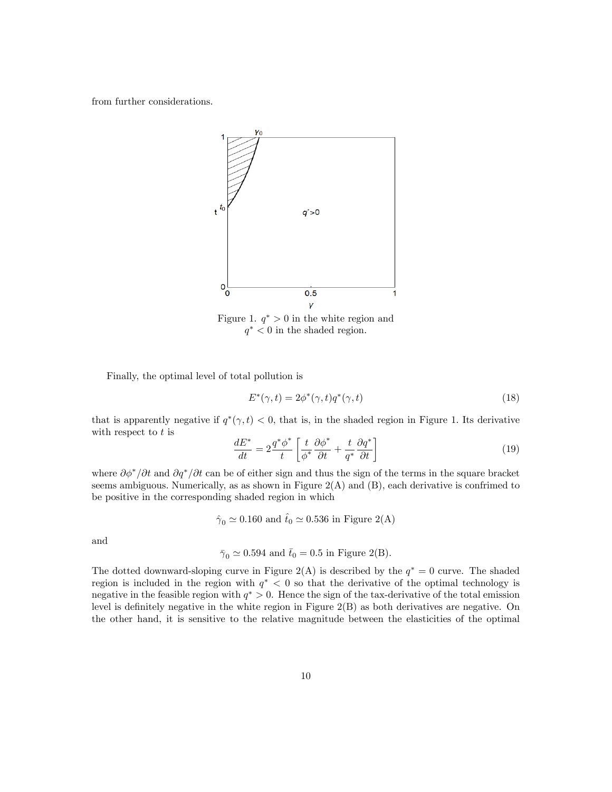from further considerations.



Figure 1.  $q^* > 0$  in the white region and  $q^*$  < 0 in the shaded region.

Finally, the optimal level of total pollution is

$$
E^*(\gamma, t) = 2\phi^*(\gamma, t)q^*(\gamma, t)
$$
\n<sup>(18)</sup>

that is apparently negative if  $q^*(\gamma, t) < 0$ , that is, in the shaded region in Figure 1. Its derivative with respect to  $t$  is

$$
\frac{dE^*}{dt} = 2\frac{q^*\phi^*}{t} \left[ \frac{t}{\phi^*} \frac{\partial \phi^*}{\partial t} + \frac{t}{q^*} \frac{\partial q^*}{\partial t} \right] \tag{19}
$$

where  $\partial \phi^* / \partial t$  and  $\partial q^* / \partial t$  can be of either sign and thus the sign of the terms in the square bracket seems ambiguous. Numerically, as as shown in Figure  $2(A)$  and  $(B)$ , each derivative is confrimed to be positive in the corresponding shaded region in which

$$
\hat{\gamma}_0 \simeq 0.160
$$
 and  $\hat{t}_0 \simeq 0.536$  in Figure 2(A)

and

$$
\bar{\gamma}_0 \simeq 0.594
$$
 and  $\bar{t}_0 = 0.5$  in Figure 2(B).

The dotted downward-sloping curve in Figure 2(A) is described by the  $q^* = 0$  curve. The shaded region is included in the region with  $q^* < 0$  so that the derivative of the optimal technology is negative in the feasible region with  $q^* > 0$ . Hence the sign of the tax-derivative of the total emission level is definitely negative in the white region in Figure  $2(B)$  as both derivatives are negative. On the other hand, it is sensitive to the relative magnitude between the elasticities of the optimal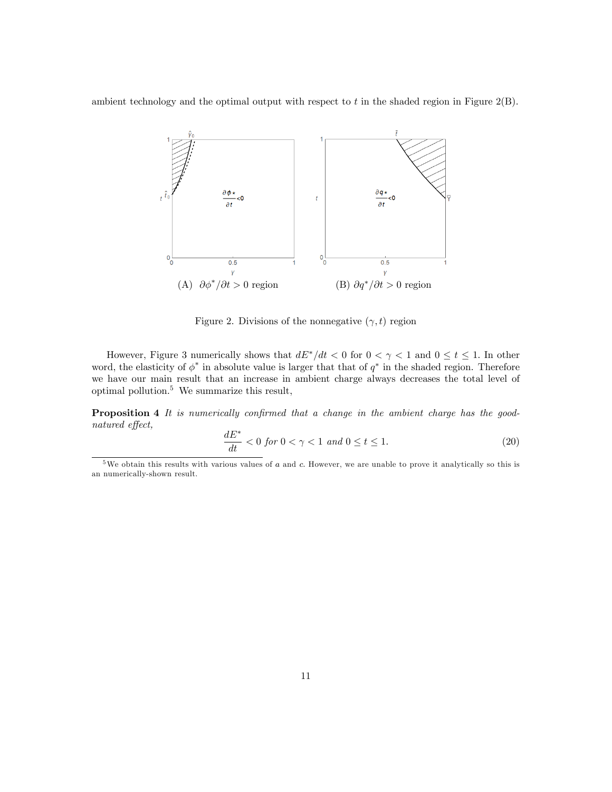ambient technology and the optimal output with respect to  $t$  in the shaded region in Figure 2(B).



Figure 2. Divisions of the nonnegative  $(\gamma, t)$  region

However, Figure 3 numerically shows that  $dE^*/dt < 0$  for  $0 < \gamma < 1$  and  $0 \le t \le 1$ . In other word, the elasticity of  $\phi^*$  in absolute value is larger that that of  $q^*$  in the shaded region. Therefore we have our main result that an increase in ambient charge always decreases the total level of optimal pollution.<sup>5</sup> We summarize this result,

**Proposition 4** It is numerically confirmed that a change in the ambient charge has the goodnatured effect,

$$
\frac{dE^*}{dt} < 0 \text{ for } 0 < \gamma < 1 \text{ and } 0 \le t \le 1. \tag{20}
$$

 $5$ We obtain this results with various values of  $a$  and  $c$ . However, we are unable to prove it analytically so this is an numerically-shown result.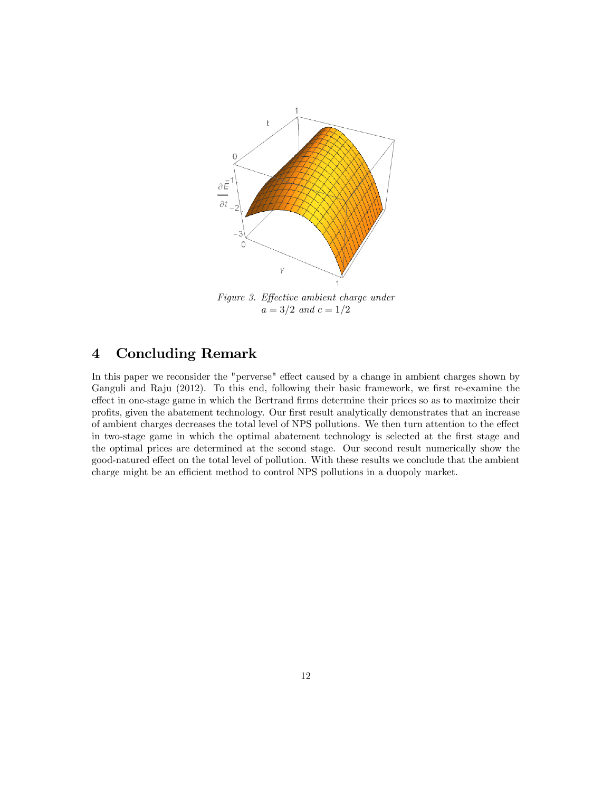

Figure 3. Effective ambient charge under  $a = 3/2$  and  $c = 1/2$ 

## 4 Concluding Remark

In this paper we reconsider the "perverse" effect caused by a change in ambient charges shown by Ganguli and Raju (2012). To this end, following their basic framework, we first re-examine the effect in one-stage game in which the Bertrand firms determine their prices so as to maximize their profits, given the abatement technology. Our first result analytically demonstrates that an increase of ambient charges decreases the total level of NPS pollutions. We then turn attention to the effect in two-stage game in which the optimal abatement technology is selected at the first stage and the optimal prices are determined at the second stage. Our second result numerically show the good-natured effect on the total level of pollution. With these results we conclude that the ambient charge might be an efficient method to control NPS pollutions in a duopoly market.